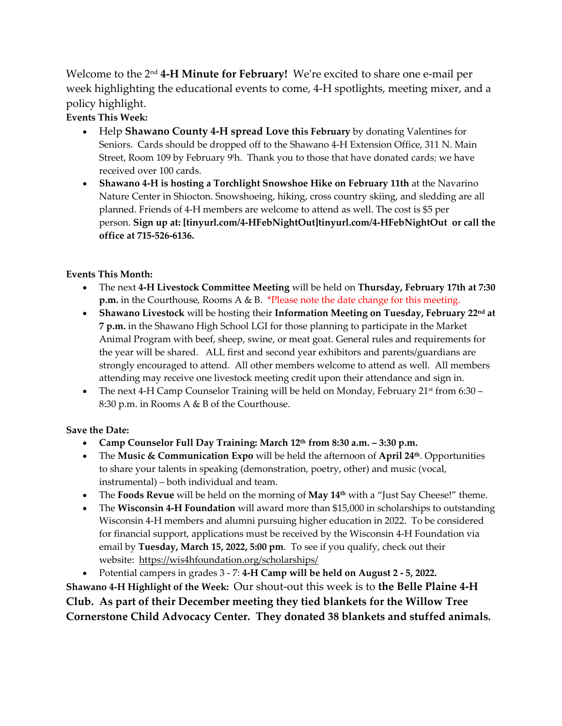Welcome to the 2 nd **4-H Minute for February!** We're excited to share one e-mail per week highlighting the educational events to come, 4-H spotlights, meeting mixer, and a policy highlight.

## **Events This Week:**

- Help **Shawano County 4-H spread Love this February** by donating Valentines for Seniors. Cards should be dropped off to the Shawano 4-H Extension Office, 311 N. Main Street, Room 109 by February 9'h. Thank you to those that have donated cards; we have received over 100 cards.
- **Shawano 4-H is hosting a Torchlight Snowshoe Hike on February 11th** at the Navarino Nature Center in Shiocton. Snowshoeing, hiking, cross country skiing, and sledding are all planned. Friends of 4-H members are welcome to attend as well. The cost is \$5 per person. **Sign up at: [tinyurl.com/4-HFebNightOut]tinyurl.com/4-HFebNightOut or call the office at 715-526-6136.**

## **Events This Month:**

- The next **4-H Livestock Committee Meeting** will be held on **Thursday, February 17th at 7:30 p.m.** in the Courthouse, Rooms A & B. \*Please note the date change for this meeting.
- **Shawano Livestock** will be hosting their **Information Meeting on Tuesday, February 22nd at 7 p.m.** in the Shawano High School LGI for those planning to participate in the Market Animal Program with beef, sheep, swine, or meat goat. General rules and requirements for the year will be shared. ALL first and second year exhibitors and parents/guardians are strongly encouraged to attend. All other members welcome to attend as well. All members attending may receive one livestock meeting credit upon their attendance and sign in.
- The next 4-H Camp Counselor Training will be held on Monday, February  $21^{st}$  from 6:30 8:30 p.m. in Rooms A & B of the Courthouse.

## **Save the Date:**

- **Camp Counselor Full Day Training: March 12th from 8:30 a.m. – 3:30 p.m.**
- The **Music & Communication Expo** will be held the afternoon of **April 24th** . Opportunities to share your talents in speaking (demonstration, poetry, other) and music (vocal, instrumental) – both individual and team.
- The **Foods Revue** will be held on the morning of **May 14th** with a "Just Say Cheese!" theme.
- The **Wisconsin 4-H Foundation** will award more than \$15,000 in scholarships to outstanding Wisconsin 4-H members and alumni pursuing higher education in 2022. To be considered for financial support, applications must be received by the Wisconsin 4-H Foundation via email by **Tuesday, March 15, 2022, 5:00 pm**. To see if you qualify, check out their website: <https://wis4hfoundation.org/scholarships/>
- Potential campers in grades 3 7: **4-H Camp will be held on August 2 - 5, 2022.**

**Shawano 4-H Highlight of the Week:** Our shout-out this week is to **the Belle Plaine 4-H Club. As part of their December meeting they tied blankets for the Willow Tree Cornerstone Child Advocacy Center. They donated 38 blankets and stuffed animals.**